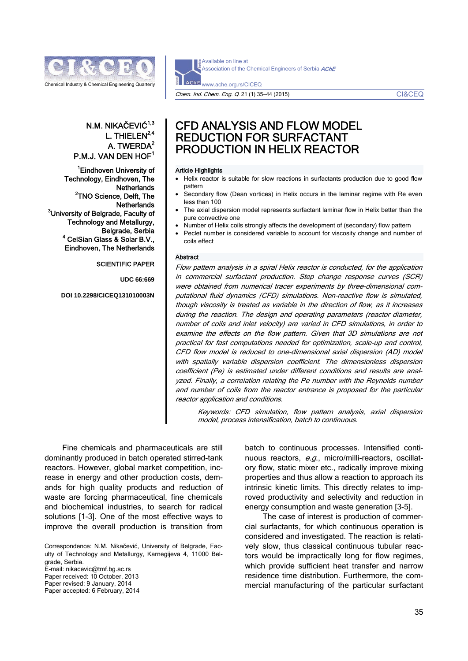

## N.M. NIKAČEVIĆ<sup>1,3</sup> L. THIELEN $^{2,4}$ A. TWERDA<sup>2</sup> P.M.J. VAN DEN HOF<sup>1</sup>

<sup>1</sup> Eindhoven University of Technology, Eindhoven, The Netherlands<br>TNO Science, Delft, The<sup>2</sup> **Netherlands** <sup>3</sup>University of Belgrade, Faculty of Technology and Metallurgy, Belgrade, Serbia 4 CelSian Glass & Solar B.V., Eindhoven, The Netherlands

#### SCIENTIFIC PAPER

**UDC 66:669** 

**DOI 10.2298/CICEQ131010003N** 

Available on line at Association of the Chemical Engineers of Serbia AChE AChE www.ache.org.rs/CICEQ Chem. Ind. Chem. Eng. Q. 21 (1) 35−44 (2015) CI&CEQ

# CFD ANALYSIS AND FLOW MODEL REDUCTION FOR SURFACTANT PRODUCTION IN HELIX REACTOR

#### Article Highlights

- Helix reactor is suitable for slow reactions in surfactants production due to good flow pattern
- Secondary flow (Dean vortices) in Helix occurs in the laminar regime with Re even less than 100
- The axial dispersion model represents surfactant laminar flow in Helix better than the pure convective one
- Number of Helix coils strongly affects the development of (secondary) flow pattern
- Peclet number is considered variable to account for viscosity change and number of coils effect

#### Abstract

Flow pattern analysis in a spiral Helix reactor is conducted, for the application in commercial surfactant production. Step change response curves (SCR) were obtained from numerical tracer experiments by three-dimensional computational fluid dynamics (CFD) simulations. Non-reactive flow is simulated, though viscosity is treated as variable in the direction of flow, as it increases during the reaction. The design and operating parameters (reactor diameter, number of coils and inlet velocity) are varied in CFD simulations, in order to examine the effects on the flow pattern. Given that 3D simulations are not practical for fast computations needed for optimization, scale-up and control, CFD flow model is reduced to one-dimensional axial dispersion (AD) model with spatially variable dispersion coefficient. The dimensionless dispersion coefficient (Pe) is estimated under different conditions and results are analyzed. Finally, a correlation relating the Pe number with the Reynolds number and number of coils from the reactor entrance is proposed for the particular reactor application and conditions.

Keywords: CFD simulation, flow pattern analysis, axial dispersion model, process intensification, batch to continuous.

Fine chemicals and pharmaceuticals are still dominantly produced in batch operated stirred-tank reactors. However, global market competition, increase in energy and other production costs, demands for high quality products and reduction of waste are forcing pharmaceutical, fine chemicals and biochemical industries, to search for radical solutions [1-3]. One of the most effective ways to improve the overall production is transition from

E-mail: nikacevic@tmf.bg.ac.rs

 $\overline{a}$ 

Paper received: 10 October, 2013

Paper accepted: 6 February, 2014

batch to continuous processes. Intensified continuous reactors, e.g., micro/milli-reactors, oscillatory flow, static mixer etc., radically improve mixing properties and thus allow a reaction to approach its intrinsic kinetic limits. This directly relates to improved productivity and selectivity and reduction in energy consumption and waste generation [3-5].

The case of interest is production of commercial surfactants, for which continuous operation is considered and investigated. The reaction is relatively slow, thus classical continuous tubular reactors would be impractically long for flow regimes, which provide sufficient heat transfer and narrow residence time distribution. Furthermore, the commercial manufacturing of the particular surfactant

Correspondence: N.M. Nikačević, University of Belgrade, Faculty of Technology and Metallurgy, Karnegijeva 4, 11000 Belgrade, Serbia.

Paper revised: 9 January, 2014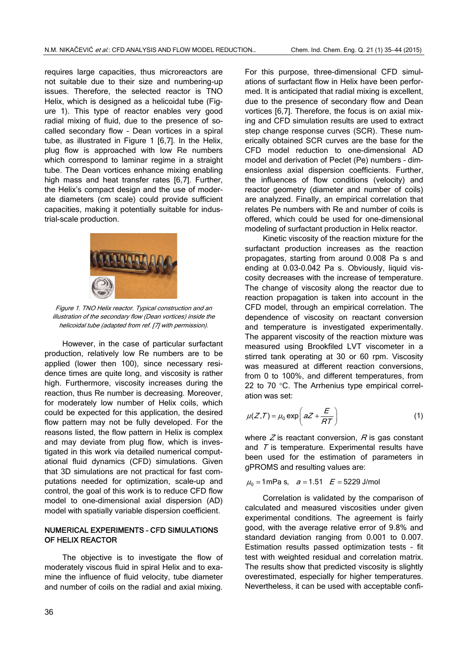requires large capacities, thus microreactors are not suitable due to their size and numbering-up issues. Therefore, the selected reactor is TNO Helix, which is designed as a helicoidal tube (Figure 1). This type of reactor enables very good radial mixing of fluid, due to the presence of socalled secondary flow – Dean vortices in a spiral tube, as illustrated in Figure 1 [6,7]. In the Helix, plug flow is approached with low Re numbers which correspond to laminar regime in a straight tube. The Dean vortices enhance mixing enabling high mass and heat transfer rates [6,7]. Further, the Helix's compact design and the use of moderate diameters (cm scale) could provide sufficient capacities, making it potentially suitable for industrial-scale production.



Figure 1. TNO Helix reactor. Typical construction and an illustration of the secondary flow (Dean vortices) inside the helicoidal tube (adapted from ref. [7] with permission).

However, in the case of particular surfactant production, relatively low Re numbers are to be applied (lower then 100), since necessary residence times are quite long, and viscosity is rather high. Furthermore, viscosity increases during the reaction, thus Re number is decreasing. Moreover, for moderately low number of Helix coils, which could be expected for this application, the desired flow pattern may not be fully developed. For the reasons listed, the flow pattern in Helix is complex and may deviate from plug flow, which is investigated in this work via detailed numerical computational fluid dynamics (CFD) simulations. Given that 3D simulations are not practical for fast computations needed for optimization, scale-up and control, the goal of this work is to reduce CFD flow model to one-dimensional axial dispersion (AD) model with spatially variable dispersion coefficient.

### NUMERICAL EXPERIMENTS – CFD SIMULATIONS OF HELIX REACTOR

The objective is to investigate the flow of moderately viscous fluid in spiral Helix and to examine the influence of fluid velocity, tube diameter and number of coils on the radial and axial mixing. For this purpose, three-dimensional CFD simulations of surfactant flow in Helix have been performed. It is anticipated that radial mixing is excellent, due to the presence of secondary flow and Dean vortices [6,7]. Therefore, the focus is on axial mixing and CFD simulation results are used to extract step change response curves (SCR). These numerically obtained SCR curves are the base for the CFD model reduction to one-dimensional AD model and derivation of Peclet (Pe) numbers – dimensionless axial dispersion coefficients. Further, the influences of flow conditions (velocity) and reactor geometry (diameter and number of coils) are analyzed. Finally, an empirical correlation that relates Pe numbers with Re and number of coils is offered, which could be used for one-dimensional modeling of surfactant production in Helix reactor.

Kinetic viscosity of the reaction mixture for the surfactant production increases as the reaction propagates, starting from around 0.008 Pa s and ending at 0.03-0.042 Pa s. Obviously, liquid viscosity decreases with the increase of temperature. The change of viscosity along the reactor due to reaction propagation is taken into account in the CFD model, through an empirical correlation. The dependence of viscosity on reactant conversion and temperature is investigated experimentally. The apparent viscosity of the reaction mixture was measured using Brookfiled LVT viscometer in a stirred tank operating at 30 or 60 rpm. Viscosity was measured at different reaction conversions. from 0 to 100%, and different temperatures, from 22 to 70 °C. The Arrhenius type empirical correlation was set:

$$
\mu(Z,T) = \mu_0 \exp\left(aZ + \frac{E}{RT}\right) \tag{1}
$$

where  $Z$  is reactant conversion,  $R$  is gas constant and  $T$  is temperature. Experimental results have been used for the estimation of parameters in gPROMS and resulting values are:

 $\mu_0 = 1$ mPa s,  $a = 1.51$   $E = 5229$  J/mol

Correlation is validated by the comparison of calculated and measured viscosities under given experimental conditions. The agreement is fairly good, with the average relative error of 9.8% and standard deviation ranging from 0.001 to 0.007. Estimation results passed optimization tests – fit test with weighted residual and correlation matrix. The results show that predicted viscosity is slightly overestimated, especially for higher temperatures. Nevertheless, it can be used with acceptable confi-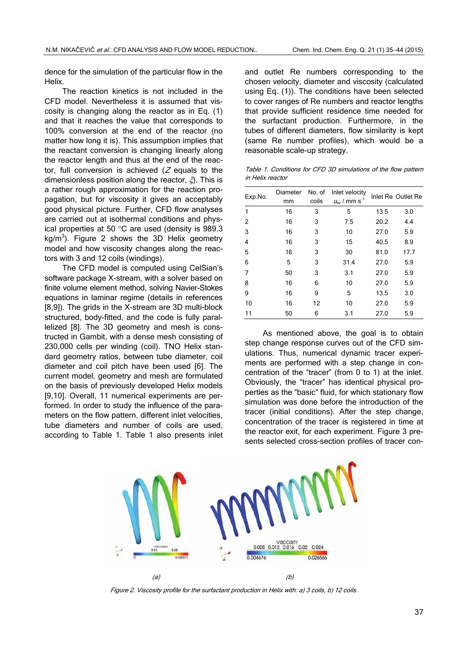dence for the simulation of the particular flow in the Helix.

The reaction kinetics is not included in the CFD model. Nevertheless it is assumed that viscosity is changing along the reactor as in Eq. (1) and that it reaches the value that corresponds to 100% conversion at the end of the reactor (no matter how long it is). This assumption implies that the reactant conversion is changing linearly along the reactor length and thus at the end of the reactor, full conversion is achieved  $(Z)$  equals to the dimensionless position along the reactor,  $\xi$ ). This is a rather rough approximation for the reaction propagation, but for viscosity it gives an acceptably good physical picture. Further, CFD flow analyses are carried out at isothermal conditions and physical properties at 50 °C are used (density is 989.3 kg/m<sup>3</sup>). Figure 2 shows the 3D Helix geometry model and how viscosity changes along the reactors with 3 and 12 coils (windings).

The CFD model is computed using CelSian's software package X-stream, with a solver based on finite volume element method, solving Navier-Stokes equations in laminar regime (details in references [8,9]). The grids in the X-stream are 3D multi-block structured, body-fitted, and the code is fully parallelized [8]. The 3D geometry and mesh is constructed in Gambit, with a dense mesh consisting of 230,000 cells per winding (coil). TNO Helix standard geometry ratios, between tube diameter, coil diameter and coil pitch have been used [6]. The current model, geometry and mesh are formulated on the basis of previously developed Helix models [9,10]. Overall, 11 numerical experiments are performed. In order to study the influence of the parameters on the flow pattern, different inlet velocities, tube diameters and number of coils are used, according to Table 1. Table 1 also presents inlet and outlet Re numbers corresponding to the chosen velocity, diameter and viscosity (calculated using Eq. (1)). The conditions have been selected to cover ranges of Re numbers and reactor lengths that provide sufficient residence time needed for the surfactant production. Furthermore, in the tubes of different diameters, flow similarity is kept (same Re number profiles), which would be a reasonable scale-up strategy.

Table 1. Conditions for CFD 3D simulations of the flow pattern in Helix reactor

| Exp.No. | <b>Diameter</b><br>mm | No. of<br>coils | Inlet velocity<br>$u_{av}$ / mm s <sup>-1</sup> |      | Inlet Re Outlet Re |
|---------|-----------------------|-----------------|-------------------------------------------------|------|--------------------|
| 1       | 16                    | 3               | 5                                               | 13.5 | 3.0                |
| 2       | 16                    | 3               | 7.5                                             | 20.2 | 4.4                |
| 3       | 16                    | 3               | 10                                              | 27.0 | 5.9                |
| 4       | 16                    | 3               | 15                                              | 40.5 | 8.9                |
| 5       | 16                    | 3               | 30                                              | 81.0 | 17.7               |
| 6       | 5                     | 3               | 31.4                                            | 27.0 | 5.9                |
| 7       | 50                    | 3               | 3.1                                             | 27.0 | 5.9                |
| 8       | 16                    | 6               | 10                                              | 27.0 | 5.9                |
| 9       | 16                    | 9               | 5                                               | 13.5 | 3.0                |
| 10      | 16                    | 12              | 10                                              | 27.0 | 5.9                |
| 11      | 50                    | 6               | 3.1                                             | 27.0 | 5.9                |

As mentioned above, the goal is to obtain step change response curves out of the CFD simulations. Thus, numerical dynamic tracer experiments are performed with a step change in concentration of the "tracer" (from 0 to 1) at the inlet. Obviously, the "tracer" has identical physical properties as the "basic" fluid, for which stationary flow simulation was done before the introduction of the tracer (initial conditions). After the step change, concentration of the tracer is registered in time at the reactor exit, for each experiment. Figure 3 presents selected cross-section profiles of tracer con-



Figure 2. Viscosity profile for the surfactant production in Helix with: a) 3 coils, b) 12 coils.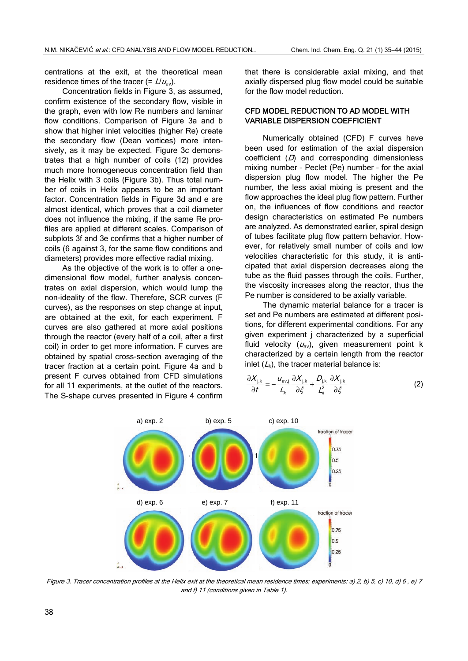centrations at the exit, at the theoretical mean residence times of the tracer (=  $L/u<sub>av</sub>$ ).

Concentration fields in Figure 3, as assumed, confirm existence of the secondary flow, visible in the graph, even with low Re numbers and laminar flow conditions. Comparison of Figure 3a and b show that higher inlet velocities (higher Re) create the secondary flow (Dean vortices) more intensively, as it may be expected. Figure 3c demonstrates that a high number of coils (12) provides much more homogeneous concentration field than the Helix with 3 coils (Figure 3b). Thus total number of coils in Helix appears to be an important factor. Concentration fields in Figure 3d and e are almost identical, which proves that a coil diameter does not influence the mixing, if the same Re profiles are applied at different scales. Comparison of subplots 3f and 3e confirms that a higher number of coils (6 against 3, for the same flow conditions and diameters) provides more effective radial mixing.

As the objective of the work is to offer a onedimensional flow model, further analysis concentrates on axial dispersion, which would lump the non-ideality of the flow. Therefore, SCR curves (F curves), as the responses on step change at input, are obtained at the exit, for each experiment. F curves are also gathered at more axial positions through the reactor (every half of a coil, after a first coil) in order to get more information. F curves are obtained by spatial cross-section averaging of the tracer fraction at a certain point. Figure 4a and b present F curves obtained from CFD simulations for all 11 experiments, at the outlet of the reactors. The S-shape curves presented in Figure 4 confirm that there is considerable axial mixing, and that axially dispersed plug flow model could be suitable for the flow model reduction.

### CFD MODEL REDUCTION TO AD MODEL WITH VARIABLE DISPERSION COEFFICIENT

Numerically obtained (CFD) F curves have been used for estimation of the axial dispersion coefficient  $(D)$  and corresponding dimensionless mixing number – Peclet (Pe) number – for the axial dispersion plug flow model. The higher the Pe number, the less axial mixing is present and the flow approaches the ideal plug flow pattern. Further on, the influences of flow conditions and reactor design characteristics on estimated Pe numbers are analyzed. As demonstrated earlier, spiral design of tubes facilitate plug flow pattern behavior. However, for relatively small number of coils and low velocities characteristic for this study, it is anticipated that axial dispersion decreases along the tube as the fluid passes through the coils. Further, the viscosity increases along the reactor, thus the Pe number is considered to be axially variable.

The dynamic material balance for a tracer is set and Pe numbers are estimated at different positions, for different experimental conditions. For any given experiment j characterized by a superficial fluid velocity  $(u_{av})$ , given measurement point k characterized by a certain length from the reactor inlet  $(L_k)$ , the tracer material balance is:

$$
\frac{\partial X_{j,k}}{\partial t} = -\frac{u_{\text{av},j}}{L_k} \frac{\partial X_{j,k}}{\partial \xi} + \frac{D_{j,k}}{L_k^2} \frac{\partial X_{j,k}}{\partial \xi}
$$
(2)



Figure 3. Tracer concentration profiles at the Helix exit at the theoretical mean residence times; experiments: a) 2, b) 5, c) 10, d) 6, e) 7 and f) 11 (conditions given in Table 1).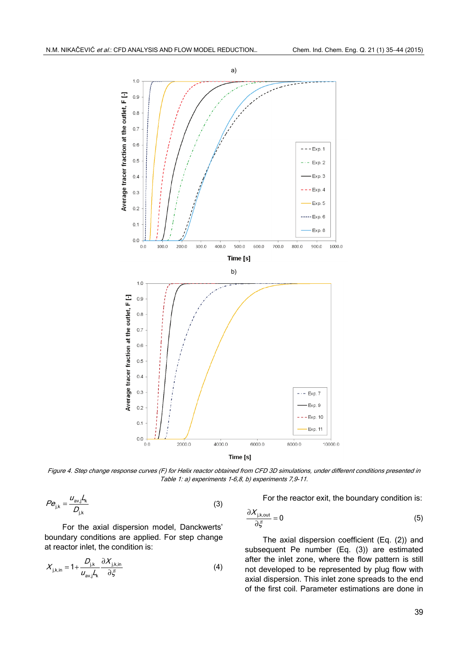

Figure 4. Step change response curves (F) for Helix reactor obtained from CFD 3D simulations, under different conditions presented in Table 1: a) experiments 1-6,8, b) experiments 7,9-11.

$$
P e_{j,k} = \frac{u_{av,j}L_k}{D_{j,k}}
$$
 (3)

For the axial dispersion model, Danckwerts' boundary conditions are applied. For step change at reactor inlet, the condition is:

$$
X_{j,k,in} = 1 + \frac{D_{j,k}}{U_{\text{av},j}} \frac{\partial X_{j,k,in}}{\partial \xi}
$$
 (4)

For the reactor exit, the boundary condition is:

$$
\frac{\partial X_{j,k,\text{out}}}{\partial \xi} = 0 \tag{5}
$$

The axial dispersion coefficient (Eq. (2)) and subsequent Pe number (Eq. (3)) are estimated after the inlet zone, where the flow pattern is still not developed to be represented by plug flow with axial dispersion. This inlet zone spreads to the end of the first coil. Parameter estimations are done in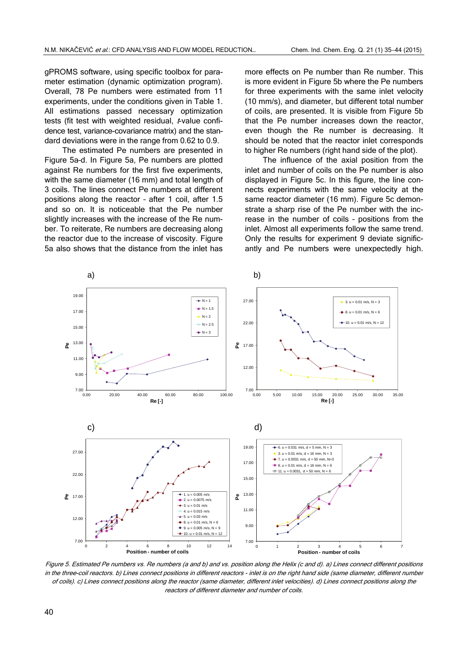gPROMS software, using specific toolbox for parameter estimation (dynamic optimization program). Overall, 78 Pe numbers were estimated from 11 experiments, under the conditions given in Table 1. All estimations passed necessary optimization tests (fit test with weighted residual, t-value confidence test, variance-covariance matrix) and the standard deviations were in the range from 0.62 to 0.9.

The estimated Pe numbers are presented in Figure 5a–d. In Figure 5a, Pe numbers are plotted against Re numbers for the first five experiments, with the same diameter (16 mm) and total length of 3 coils. The lines connect Pe numbers at different positions along the reactor – after 1 coil, after 1.5 and so on. It is noticeable that the Pe number slightly increases with the increase of the Re number. To reiterate, Re numbers are decreasing along the reactor due to the increase of viscosity. Figure 5a also shows that the distance from the inlet has

more effects on Pe number than Re number. This is more evident in Figure 5b where the Pe numbers for three experiments with the same inlet velocity (10 mm/s), and diameter, but different total number of coils, are presented. It is visible from Figure 5b that the Pe number increases down the reactor, even though the Re number is decreasing. It should be noted that the reactor inlet corresponds to higher Re numbers (right hand side of the plot).

The influence of the axial position from the inlet and number of coils on the Pe number is also displayed in Figure 5c. In this figure, the line connects experiments with the same velocity at the same reactor diameter (16 mm). Figure 5c demonstrate a sharp rise of the Pe number with the increase in the number of coils – positions from the inlet. Almost all experiments follow the same trend. Only the results for experiment 9 deviate significantly and Pe numbers were unexpectedly high.



Figure 5. Estimated Pe numbers vs. Re numbers (a and b) and vs. position along the Helix (c and d). a) Lines connect different positions in the three-coil reactors. b) Lines connect positions in different reactors - inlet is on the right hand side (same diameter, different number of coils). c) Lines connect positions along the reactor (same diameter, different inlet velocities). d) Lines connect positions along the reactors of different diameter and number of coils.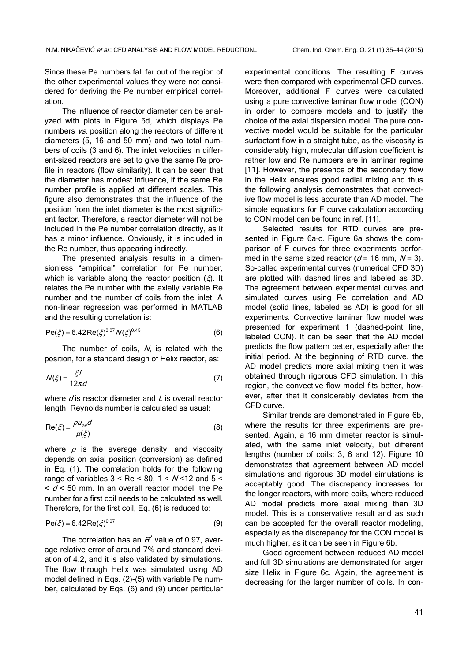Since these Pe numbers fall far out of the region of the other experimental values they were not considered for deriving the Pe number empirical correlation.

The influence of reactor diameter can be analyzed with plots in Figure 5d, which displays Pe numbers vs. position along the reactors of different diameters (5, 16 and 50 mm) and two total numbers of coils (3 and 6). The inlet velocities in different-sized reactors are set to give the same Re profile in reactors (flow similarity). It can be seen that the diameter has modest influence, if the same Re number profile is applied at different scales. This figure also demonstrates that the influence of the position from the inlet diameter is the most significant factor. Therefore, a reactor diameter will not be included in the Pe number correlation directly, as it has a minor influence. Obviously, it is included in the Re number, thus appearing indirectly.

The presented analysis results in a dimensionless "empirical" correlation for Pe number, which is variable along the reactor position  $(\xi)$ . It relates the Pe number with the axially variable Re number and the number of coils from the inlet. A non-linear regression was performed in MATLAB and the resulting correlation is:

$$
Pe(\xi) = 6.42 \text{Re}(\xi)^{0.07} N(\xi)^{0.45}
$$
 (6)

The number of coils, N, is related with the position, for a standard design of Helix reactor, as:

$$
N(\xi) = \frac{\xi L}{12\pi d} \tag{7}
$$

where  $d$  is reactor diameter and  $L$  is overall reactor length. Reynolds number is calculated as usual:

$$
\text{Re}(\xi) = \frac{\rho u_{\text{av}} d}{\mu(\xi)}\tag{8}
$$

where  $\rho$  is the average density, and viscosity depends on axial position (conversion) as defined in Eq. (1). The correlation holds for the following range of variables  $3 <$  Re  $<$  80, 1  $<$  N  $<$  12 and 5  $<$  $d$  < 50 mm. In an overall reactor model, the Pe number for a first coil needs to be calculated as well. Therefore, for the first coil, Eq. (6) is reduced to:

$$
Pe(\xi) = 6.42 \text{Re}(\xi)^{0.07}
$$
 (9)

The correlation has an  $\mathcal{R}^2$  value of 0.97, average relative error of around 7% and standard deviation of 4.2, and it is also validated by simulations. The flow through Helix was simulated using AD model defined in Eqs. (2)-(5) with variable Pe number, calculated by Eqs. (6) and (9) under particular experimental conditions. The resulting F curves were then compared with experimental CFD curves. Moreover, additional F curves were calculated using a pure convective laminar flow model (CON) in order to compare models and to justify the choice of the axial dispersion model. The pure convective model would be suitable for the particular surfactant flow in a straight tube, as the viscosity is considerably high, molecular diffusion coefficient is rather low and Re numbers are in laminar regime [11]. However, the presence of the secondary flow in the Helix ensures good radial mixing and thus the following analysis demonstrates that convective flow model is less accurate than AD model. The simple equations for F curve calculation according to CON model can be found in ref. [11].

Selected results for RTD curves are presented in Figure 6a–c. Figure 6a shows the comparison of F curves for three experiments performed in the same sized reactor ( $d = 16$  mm,  $N = 3$ ). So-called experimental curves (numerical CFD 3D) are plotted with dashed lines and labeled as 3D. The agreement between experimental curves and simulated curves using Pe correlation and AD model (solid lines, labeled as AD) is good for all experiments. Convective laminar flow model was presented for experiment 1 (dashed-point line, labeled CON). It can be seen that the AD model predicts the flow pattern better, especially after the initial period. At the beginning of RTD curve, the AD model predicts more axial mixing then it was obtained through rigorous CFD simulation. In this region, the convective flow model fits better, however, after that it considerably deviates from the CFD curve.

Similar trends are demonstrated in Figure 6b, where the results for three experiments are presented. Again, a 16 mm dimeter reactor is simulated, with the same inlet velocity, but different lengths (number of coils: 3, 6 and 12). Figure 10 demonstrates that agreement between AD model simulations and rigorous 3D model simulations is acceptably good. The discrepancy increases for the longer reactors, with more coils, where reduced AD model predicts more axial mixing than 3D model. This is a conservative result and as such can be accepted for the overall reactor modeling, especially as the discrepancy for the CON model is much higher, as it can be seen in Figure 6b.

Good agreement between reduced AD model and full 3D simulations are demonstrated for larger size Helix in Figure 6c. Again, the agreement is decreasing for the larger number of coils. In con-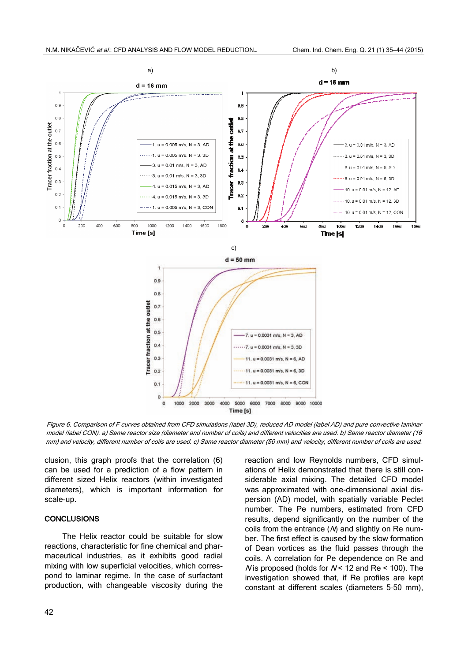

Figure 6. Comparison of F curves obtained from CFD simulations (label 3D), reduced AD model (label AD) and pure convective laminar model (label CON). a) Same reactor size (diameter and number of coils) and different velocities are used. b) Same reactor diameter (16 mm) and velocity, different number of coils are used. c) Same reactor diameter (50 mm) and velocity, different number of coils are used.

clusion, this graph proofs that the correlation (6) can be used for a prediction of a flow pattern in different sized Helix reactors (within investigated diameters), which is important information for scale-up.

#### **CONCLUSIONS**

The Helix reactor could be suitable for slow reactions, characteristic for fine chemical and pharmaceutical industries, as it exhibits good radial mixing with low superficial velocities, which correspond to laminar regime. In the case of surfactant production, with changeable viscosity during the reaction and low Reynolds numbers, CFD simulations of Helix demonstrated that there is still considerable axial mixing. The detailed CFD model was approximated with one-dimensional axial dispersion (AD) model, with spatially variable Peclet number. The Pe numbers, estimated from CFD results, depend significantly on the number of the coils from the entrance  $(M)$  and slightly on Re number. The first effect is caused by the slow formation of Dean vortices as the fluid passes through the coils. A correlation for Pe dependence on Re and N is proposed (holds for  $N < 12$  and Re  $< 100$ ). The investigation showed that, if Re profiles are kept constant at different scales (diameters 5–50 mm),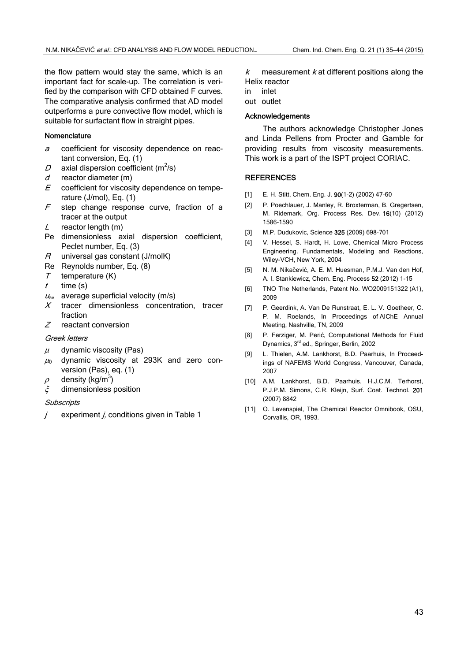the flow pattern would stay the same, which is an important fact for scale-up. The correlation is verified by the comparison with CFD obtained F curves. The comparative analysis confirmed that AD model outperforms a pure convective flow model, which is suitable for surfactant flow in straight pipes.

### **Nomenclature**

- a coefficient for viscosity dependence on reactant conversion, Eq. (1)
- D axial dispersion coefficient (m<sup>2</sup>/s)
- $d$  reactor diameter (m)
- $E$  coefficient for viscosity dependence on temperature (J/mol), Eq. (1)
- $F$  step change response curve, fraction of a tracer at the output
- $L$  reactor length  $(m)$
- Pe dimensionless axial dispersion coefficient, Peclet number, Eq. (3)
- $R$  universal gas constant (J/molK)
- Re Reynolds number, Eq. (8)
- $T$  temperature  $(K)$
- $t$  time (s)
- $u_{av}$  average superficial velocity (m/s)
- $X$  tracer dimensionless concentration, tracer fraction
- $Z$  reactant conversion

#### Greek letters

- $\mu$  dynamic viscosity (Pas)
- $\mu_0$  dynamic viscosity at 293K and zero conversion (Pas), eq. (1)
- $\rho$  density (kg/m<sup>3</sup>)
- $\xi$  dimensionless position

#### **Subscripts**

experiment  $j$ , conditions given in Table 1

 $k$  measurement  $k$  at different positions along the Helix reactor

- in inlet
- out outlet

### Acknowledgements

The authors acknowledge Christopher Jones and Linda Pellens from Procter and Gamble for providing results from viscosity measurements. This work is a part of the ISPT project CORIAC.

## **REFERENCES**

- [1] E. H. Stitt, Chem. Eng. J. 90(1-2) (2002) 47-60
- [2] P. Poechlauer, J. Manley, R. Broxterman, B. Gregertsen, M. Ridemark, Org. Process Res. Dev. 16(10) (2012) 1586-1590
- [3] M.P. Dudukovic, Science 325 (2009) 698-701
- [4] V. Hessel, S. Hardt, H. Lowe, Chemical Micro Process Engineering. Fundamentals, Modeling and Reactions, Wiley-VCH, New York, 2004
- [5] N. M. Nikačević, A. E. M. Huesman, P.M.J. Van den Hof, A. I. Stankiewicz, Chem. Eng. Process 52 (2012) 1-15
- [6] TNO The Netherlands, Patent No. WO2009151322 (A1), 2009
- [7] P. Geerdink, A. Van De Runstraat, E. L. V. Goetheer, C. P. M. Roelands, In Proceedings of AIChE Annual Meeting, Nashville, TN, 2009
- [8] P. Ferziger, M. Perić, Computational Methods for Fluid Dynamics, 3rd ed., Springer, Berlin, 2002
- [9] L. Thielen, A.M. Lankhorst, B.D. Paarhuis, In Proceedings of NAFEMS World Congress, Vancouver, Canada, 2007
- [10] A.M. Lankhorst, B.D. Paarhuis, H.J.C.M. Terhorst, P.J.P.M. Simons, C.R. Kleijn, Surf. Coat. Technol. 201 (2007) 8842
- [11] O. Levenspiel, The Chemical Reactor Omnibook, OSU, Corvallis, OR, 1993.